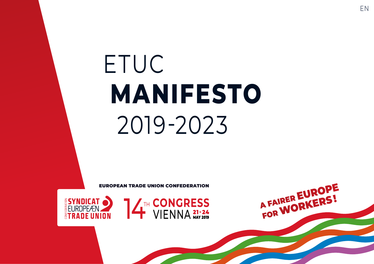## ETUC **MANIFESTO** 2019-2023

EUROPEAN TRADE UNION CONFEDERATION





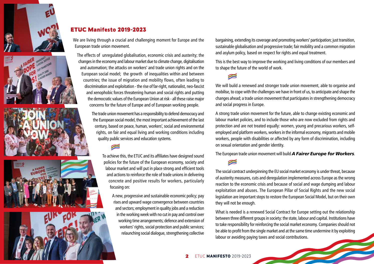









#### ETUC Manifesto 2019-2023

We are living through a crucial and challenging moment for Europe and the European trade union movement.

The effects of unregulated globalisation, economic crisis and austerity; the changes in the economy and labour market due to climate change, digitalisation and automation; the attacks on workers' and trade union rights and on the European social model; the growth of inequalities within and between countries; the issue of migration and mobility flows, often leading to discrimination and exploitation - the rise of far-right, nationalist, neo-fascist and xenophobic forces threatening human and social rights and putting the democratic values of the European Union at risk - all these raise major concerns for the future of Europe and of European working people.

> The trade union movement has a responsibility to defend democracy and the European social model, the most important achievement of the last century, based on peace, human, workers', social and environmental rights, on fair and equal living and working conditions including quality public services and education systems.

To achieve this, the ETUC and its affiliates have designed sound policies for the future of the European economy, society and labour market and will put in place strong and efficient tools and actions to reinforce the role of trade unions in delivering concrete and positive results for workers, particularly focusing on:

A new, progressive and sustainable economic policy; pay rises and upward wage convergence between countries and sectors; employment in quality jobs and a reduction in the working week with no cut in pay and control over working time arrangements; defence and extension of workers' rights, social protection and public services; relaunching social dialogue, strengthening collective

bargaining, extending its coverage and promoting workers' participation; just transition, sustainable globalisation and progressive trade; fair mobility and a common migration and asylum policy, based on respect for rights and equal treatment.

This is the best way to improve the working and living conditions of our members and to shape the future of the world of work.

Æ

We will build a renewed and stronger trade union movement, able to organise and mobilise, to cope with the challenges we have in front of us, to anticipate and shape the changes ahead; a trade union movement that participates in strengthening democracy and social progress in Europe.

A strong trade union movement for the future, able to change existing economic and labour market policies, and to include those who are now excluded from rights and protection and are not treated equally: women, young and precarious workers, selfemployed and platform workers, workers in the informal economy, migrants and mobile workers, people with disabilities or affected by any form of discrimination, including on sexual orientation and gender identity.

The European trade union movement will build *A Fairer Europe for Workers*.

The social contract underpinning the EU social market economy is under threat, because of austerity measures, cuts and deregulation implemented across Europe as the wrong reaction to the economic crisis and because of social and wage dumping and labour exploitation and abuses. The European Pillar of Social Rights and the new social legislation are important steps to restore the European Social Model, but on their own they will not be enough.

What is needed is a renewed Social Contract for Europe setting out the relationship between three different groups in society: the state, labour and capital. Institutions have to take responsibility for reinforcing the social market economy. Companies should not be able to profit from the single market and at the same time undermine it by exploiting labour or avoiding paying taxes and social contributions.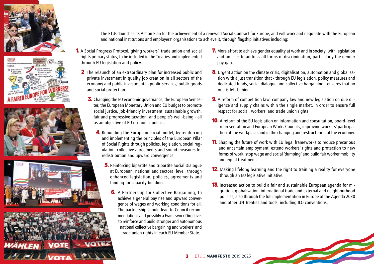









The ETUC launches its Action Plan for the achievement of a renewed Social Contract for Europe, and will work and negotiate with the European and national institutions and employers' organisations to achieve it, through flagship initiatives including:

- 1. A Social Progress Protocol, giving workers', trade union and social rights primary status, to be included in the Treaties and implemented through EU legislation and policy.
	- 2. The relaunch of an extraordinary plan for increased public and private investment in quality job creation in all sectors of the economy and public investment in public services, public goods and social protection.
		- 3. Changing the EU economic governance, the European Semester, the European Monetary Union and EU budget to promote social justice, job-friendly investment, sustainable growth, fair and progressive taxation, and people's well-being - all as an objective of EU economic policies.
			- 4. Rebuilding the European social model, by reinforcing and implementing the principles of the European Pillar of Social Rights through policies, legislation, social regulation, collective agreements and sound measures for redistribution and upward convergence.
				- 5. Reinforcing bipartite and tripartite Social Dialogue at European, national and sectoral level, through enhanced legislation, policies, agreements and funding for capacity building.
					- **6.** A Partnership for Collective Bargaining, to achieve a general pay rise and upward convergence of wages and working conditions for all. The partnership should lead to Council recommendations and possibly a Framework Directive, to reinforce and build stronger and autonomous national collective bargaining and workers' and trade union rights in each EU Member State.
- 7. More effort to achieve gender equality at work and in society, with legislation and policies to address all forms of discrimination, particularly the gender pay gap.
- 8. Urgent action on the climate crisis, digitalisation, automation and globalisation with a just transition that - through EU legislation, policy measures and dedicated funds, social dialogue and collective bargaining - ensures that no one is left behind.
- 9. A reform of competition law, company law and new legislation on due diligence and supply chains within the single market, in order to ensure full respect for social, workers' and trade union rights.
- 10. A reform of the EU legislation on information and consultation, board-level representation and European Works Councils, improving workers' participation at the workplace and in the changing and restructuring of the economy.
- **11.** Shaping the future of work with EU legal frameworks to reduce precarious and uncertain employment, extend workers' rights and protection to new forms of work, stop wage and social 'dumping' and build fair worker mobility and equal treatment.
- 12. Making lifelong learning and the right to training a reality for everyone through an EU legislative initiative.
- 13. Increased action to build a fair and sustainable European agenda for migration, globalisation, international trade and external and neighbourhood policies, also through the full implementation in Europe of the Agenda 2030 and other UN Treaties and tools, including ILO conventions.

3 ETUC **MANIFESTO** 2019-2023